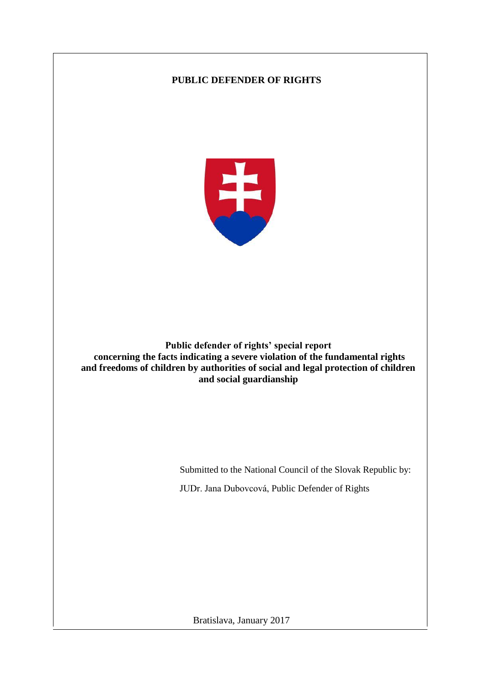# **PUBLIC DEFENDER OF RIGHTS**



**Public defender of rights' special report concerning the facts indicating a severe violation of the fundamental rights and freedoms of children by authorities of social and legal protection of children and social guardianship**

> Submitted to the National Council of the Slovak Republic by: JUDr. Jana Dubovcová, Public Defender of Rights

Bratislava, January 2017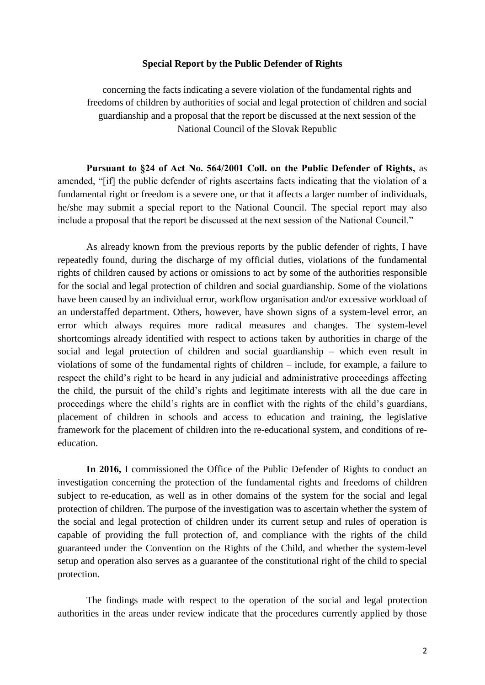### **Special Report by the Public Defender of Rights**

concerning the facts indicating a severe violation of the fundamental rights and freedoms of children by authorities of social and legal protection of children and social guardianship and a proposal that the report be discussed at the next session of the National Council of the Slovak Republic

**Pursuant to §24 of Act No. 564/2001 Coll. on the Public Defender of Rights,** as amended, "[if] the public defender of rights ascertains facts indicating that the violation of a fundamental right or freedom is a severe one, or that it affects a larger number of individuals, he/she may submit a special report to the National Council. The special report may also include a proposal that the report be discussed at the next session of the National Council."

As already known from the previous reports by the public defender of rights, I have repeatedly found, during the discharge of my official duties, violations of the fundamental rights of children caused by actions or omissions to act by some of the authorities responsible for the social and legal protection of children and social guardianship. Some of the violations have been caused by an individual error, workflow organisation and/or excessive workload of an understaffed department. Others, however, have shown signs of a system-level error, an error which always requires more radical measures and changes. The system-level shortcomings already identified with respect to actions taken by authorities in charge of the social and legal protection of children and social guardianship – which even result in violations of some of the fundamental rights of children – include, for example, a failure to respect the child's right to be heard in any judicial and administrative proceedings affecting the child, the pursuit of the child's rights and legitimate interests with all the due care in proceedings where the child's rights are in conflict with the rights of the child's guardians, placement of children in schools and access to education and training, the legislative framework for the placement of children into the re-educational system, and conditions of reeducation.

**In 2016,** I commissioned the Office of the Public Defender of Rights to conduct an investigation concerning the protection of the fundamental rights and freedoms of children subject to re-education, as well as in other domains of the system for the social and legal protection of children. The purpose of the investigation was to ascertain whether the system of the social and legal protection of children under its current setup and rules of operation is capable of providing the full protection of, and compliance with the rights of the child guaranteed under the Convention on the Rights of the Child, and whether the system-level setup and operation also serves as a guarantee of the constitutional right of the child to special protection.

The findings made with respect to the operation of the social and legal protection authorities in the areas under review indicate that the procedures currently applied by those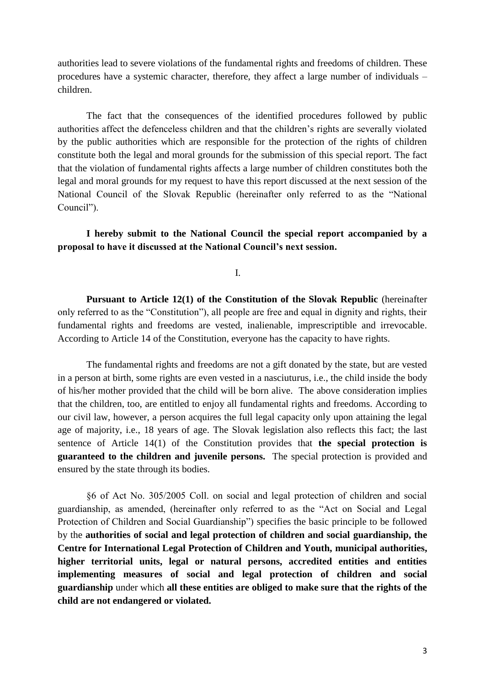authorities lead to severe violations of the fundamental rights and freedoms of children. These procedures have a systemic character, therefore, they affect a large number of individuals – children.

The fact that the consequences of the identified procedures followed by public authorities affect the defenceless children and that the children's rights are severally violated by the public authorities which are responsible for the protection of the rights of children constitute both the legal and moral grounds for the submission of this special report. The fact that the violation of fundamental rights affects a large number of children constitutes both the legal and moral grounds for my request to have this report discussed at the next session of the National Council of the Slovak Republic (hereinafter only referred to as the "National Council").

**I hereby submit to the National Council the special report accompanied by a proposal to have it discussed at the National Council's next session.**

I.

**Pursuant to Article 12(1) of the Constitution of the Slovak Republic** (hereinafter only referred to as the "Constitution"), all people are free and equal in dignity and rights, their fundamental rights and freedoms are vested, inalienable, imprescriptible and irrevocable. According to Article 14 of the Constitution, everyone has the capacity to have rights.

The fundamental rights and freedoms are not a gift donated by the state, but are vested in a person at birth, some rights are even vested in a nasciuturus, i.e., the child inside the body of his/her mother provided that the child will be born alive. The above consideration implies that the children, too, are entitled to enjoy all fundamental rights and freedoms. According to our civil law, however, a person acquires the full legal capacity only upon attaining the legal age of majority, i.e., 18 years of age. The Slovak legislation also reflects this fact; the last sentence of Article 14(1) of the Constitution provides that **the special protection is guaranteed to the children and juvenile persons.** The special protection is provided and ensured by the state through its bodies.

§6 of Act No. 305/2005 Coll. on social and legal protection of children and social guardianship, as amended, (hereinafter only referred to as the "Act on Social and Legal Protection of Children and Social Guardianship") specifies the basic principle to be followed by the **authorities of social and legal protection of children and social guardianship, the Centre for International Legal Protection of Children and Youth, municipal authorities, higher territorial units, legal or natural persons, accredited entities and entities implementing measures of social and legal protection of children and social guardianship** under which **all these entities are obliged to make sure that the rights of the child are not endangered or violated.**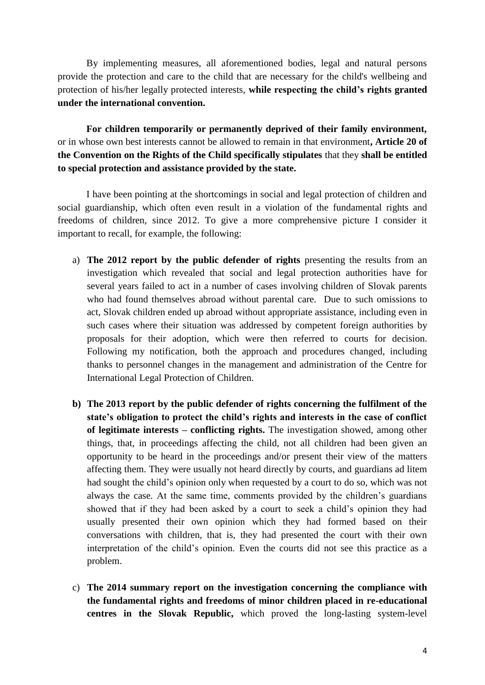By implementing measures, all aforementioned bodies, legal and natural persons provide the protection and care to the child that are necessary for the child's wellbeing and protection of his/her legally protected interests, **while respecting the child's rights granted under the international convention.**

**For children temporarily or permanently deprived of their family environment,**  or in whose own best interests cannot be allowed to remain in that environment**, Article 20 of the Convention on the Rights of the Child specifically stipulates** that they **shall be entitled to special protection and assistance provided by the state.**

I have been pointing at the shortcomings in social and legal protection of children and social guardianship, which often even result in a violation of the fundamental rights and freedoms of children, since 2012. To give a more comprehensive picture I consider it important to recall, for example, the following:

- a) **The 2012 report by the public defender of rights** presenting the results from an investigation which revealed that social and legal protection authorities have for several years failed to act in a number of cases involving children of Slovak parents who had found themselves abroad without parental care. Due to such omissions to act, Slovak children ended up abroad without appropriate assistance, including even in such cases where their situation was addressed by competent foreign authorities by proposals for their adoption, which were then referred to courts for decision. Following my notification, both the approach and procedures changed, including thanks to personnel changes in the management and administration of the Centre for International Legal Protection of Children.
- **b) The 2013 report by the public defender of rights concerning the fulfilment of the state's obligation to protect the child's rights and interests in the case of conflict of legitimate interests – conflicting rights.** The investigation showed, among other things, that, in proceedings affecting the child, not all children had been given an opportunity to be heard in the proceedings and/or present their view of the matters affecting them. They were usually not heard directly by courts, and guardians ad litem had sought the child's opinion only when requested by a court to do so, which was not always the case. At the same time, comments provided by the children's guardians showed that if they had been asked by a court to seek a child's opinion they had usually presented their own opinion which they had formed based on their conversations with children, that is, they had presented the court with their own interpretation of the child's opinion. Even the courts did not see this practice as a problem.
- c) **The 2014 summary report on the investigation concerning the compliance with the fundamental rights and freedoms of minor children placed in re-educational centres in the Slovak Republic,** which proved the long-lasting system-level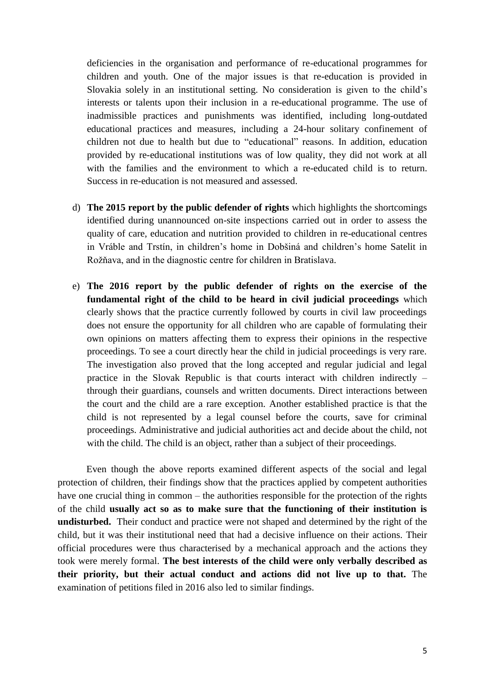deficiencies in the organisation and performance of re-educational programmes for children and youth. One of the major issues is that re-education is provided in Slovakia solely in an institutional setting. No consideration is given to the child's interests or talents upon their inclusion in a re-educational programme. The use of inadmissible practices and punishments was identified, including long-outdated educational practices and measures, including a 24-hour solitary confinement of children not due to health but due to "educational" reasons. In addition, education provided by re-educational institutions was of low quality, they did not work at all with the families and the environment to which a re-educated child is to return. Success in re-education is not measured and assessed.

- d) **The 2015 report by the public defender of rights** which highlights the shortcomings identified during unannounced on-site inspections carried out in order to assess the quality of care, education and nutrition provided to children in re-educational centres in Vráble and Trstín, in children's home in Dobšiná and children's home Satelit in Rožňava, and in the diagnostic centre for children in Bratislava.
- e) **The 2016 report by the public defender of rights on the exercise of the fundamental right of the child to be heard in civil judicial proceedings** which clearly shows that the practice currently followed by courts in civil law proceedings does not ensure the opportunity for all children who are capable of formulating their own opinions on matters affecting them to express their opinions in the respective proceedings. To see a court directly hear the child in judicial proceedings is very rare. The investigation also proved that the long accepted and regular judicial and legal practice in the Slovak Republic is that courts interact with children indirectly – through their guardians, counsels and written documents. Direct interactions between the court and the child are a rare exception. Another established practice is that the child is not represented by a legal counsel before the courts, save for criminal proceedings. Administrative and judicial authorities act and decide about the child, not with the child. The child is an object, rather than a subject of their proceedings.

Even though the above reports examined different aspects of the social and legal protection of children, their findings show that the practices applied by competent authorities have one crucial thing in common – the authorities responsible for the protection of the rights of the child **usually act so as to make sure that the functioning of their institution is undisturbed.** Their conduct and practice were not shaped and determined by the right of the child, but it was their institutional need that had a decisive influence on their actions. Their official procedures were thus characterised by a mechanical approach and the actions they took were merely formal. **The best interests of the child were only verbally described as their priority, but their actual conduct and actions did not live up to that.** The examination of petitions filed in 2016 also led to similar findings.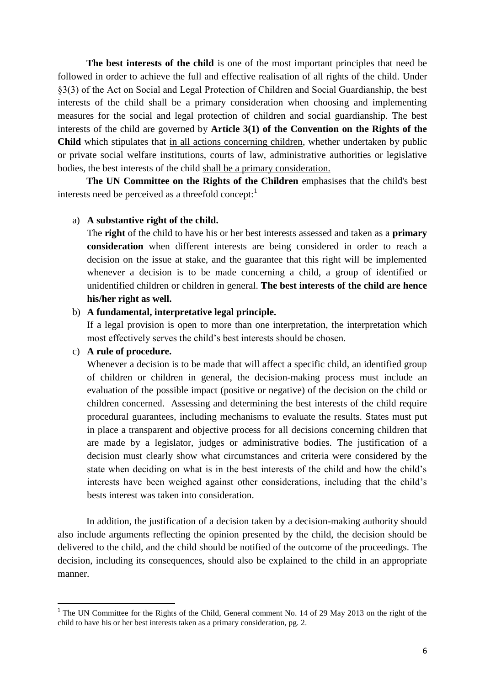**The best interests of the child** is one of the most important principles that need be followed in order to achieve the full and effective realisation of all rights of the child. Under §3(3) of the Act on Social and Legal Protection of Children and Social Guardianship, the best interests of the child shall be a primary consideration when choosing and implementing measures for the social and legal protection of children and social guardianship. The best interests of the child are governed by **Article 3(1) of the Convention on the Rights of the Child** which stipulates that in all actions concerning children, whether undertaken by public or private social welfare institutions, courts of law, administrative authorities or legislative bodies, the best interests of the child shall be a primary consideration.

**The UN Committee on the Rights of the Children** emphasises that the child's best interests need be perceived as a threefold concept:

### a) **A substantive right of the child.**

The **right** of the child to have his or her best interests assessed and taken as a **primary consideration** when different interests are being considered in order to reach a decision on the issue at stake, and the guarantee that this right will be implemented whenever a decision is to be made concerning a child, a group of identified or unidentified children or children in general. **The best interests of the child are hence his/her right as well.**

#### b) **A fundamental, interpretative legal principle.**

If a legal provision is open to more than one interpretation, the interpretation which most effectively serves the child's best interests should be chosen.

### c) **A rule of procedure.**

1

Whenever a decision is to be made that will affect a specific child, an identified group of children or children in general, the decision-making process must include an evaluation of the possible impact (positive or negative) of the decision on the child or children concerned. Assessing and determining the best interests of the child require procedural guarantees, including mechanisms to evaluate the results. States must put in place a transparent and objective process for all decisions concerning children that are made by a legislator, judges or administrative bodies. The justification of a decision must clearly show what circumstances and criteria were considered by the state when deciding on what is in the best interests of the child and how the child's interests have been weighed against other considerations, including that the child's bests interest was taken into consideration.

In addition, the justification of a decision taken by a decision-making authority should also include arguments reflecting the opinion presented by the child, the decision should be delivered to the child, and the child should be notified of the outcome of the proceedings. The decision, including its consequences, should also be explained to the child in an appropriate manner.

<sup>&</sup>lt;sup>1</sup> The UN Committee for the Rights of the Child, General comment No. 14 of 29 May 2013 on the right of the child to have his or her best interests taken as a primary consideration, pg. 2.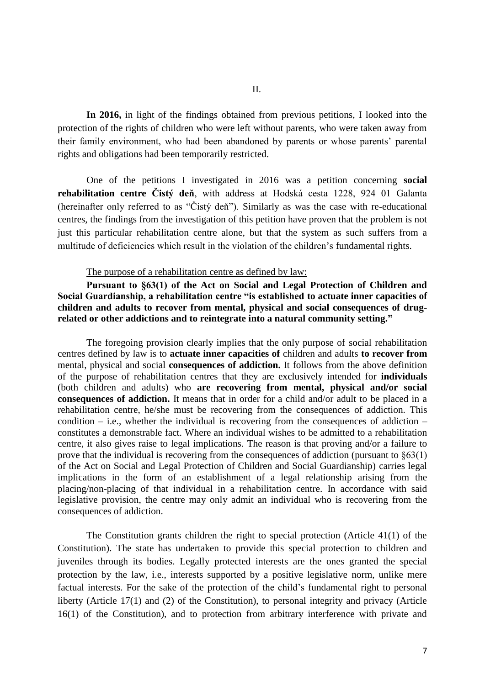**In 2016,** in light of the findings obtained from previous petitions, I looked into the protection of the rights of children who were left without parents, who were taken away from their family environment, who had been abandoned by parents or whose parents' parental rights and obligations had been temporarily restricted.

One of the petitions I investigated in 2016 was a petition concerning **social rehabilitation centre Čistý deň**, with address at Hodská cesta 1228, 924 01 Galanta (hereinafter only referred to as "Čistý deň"). Similarly as was the case with re-educational centres, the findings from the investigation of this petition have proven that the problem is not just this particular rehabilitation centre alone, but that the system as such suffers from a multitude of deficiencies which result in the violation of the children's fundamental rights.

#### The purpose of a rehabilitation centre as defined by law:

**Pursuant to §63(1) of the Act on Social and Legal Protection of Children and Social Guardianship, a rehabilitation centre "is established to actuate inner capacities of children and adults to recover from mental, physical and social consequences of drugrelated or other addictions and to reintegrate into a natural community setting."**

The foregoing provision clearly implies that the only purpose of social rehabilitation centres defined by law is to **actuate inner capacities of** children and adults **to recover from** mental, physical and social **consequences of addiction.** It follows from the above definition of the purpose of rehabilitation centres that they are exclusively intended for **individuals**  (both children and adults) who **are recovering from mental, physical and/or social consequences of addiction.** It means that in order for a child and/or adult to be placed in a rehabilitation centre, he/she must be recovering from the consequences of addiction. This condition – i.e., whether the individual is recovering from the consequences of addiction – constitutes a demonstrable fact. Where an individual wishes to be admitted to a rehabilitation centre, it also gives raise to legal implications. The reason is that proving and/or a failure to prove that the individual is recovering from the consequences of addiction (pursuant to §63(1) of the Act on Social and Legal Protection of Children and Social Guardianship) carries legal implications in the form of an establishment of a legal relationship arising from the placing/non-placing of that individual in a rehabilitation centre. In accordance with said legislative provision, the centre may only admit an individual who is recovering from the consequences of addiction.

The Constitution grants children the right to special protection (Article 41(1) of the Constitution). The state has undertaken to provide this special protection to children and juveniles through its bodies. Legally protected interests are the ones granted the special protection by the law, i.e., interests supported by a positive legislative norm, unlike mere factual interests. For the sake of the protection of the child's fundamental right to personal liberty (Article 17(1) and (2) of the Constitution), to personal integrity and privacy (Article 16(1) of the Constitution), and to protection from arbitrary interference with private and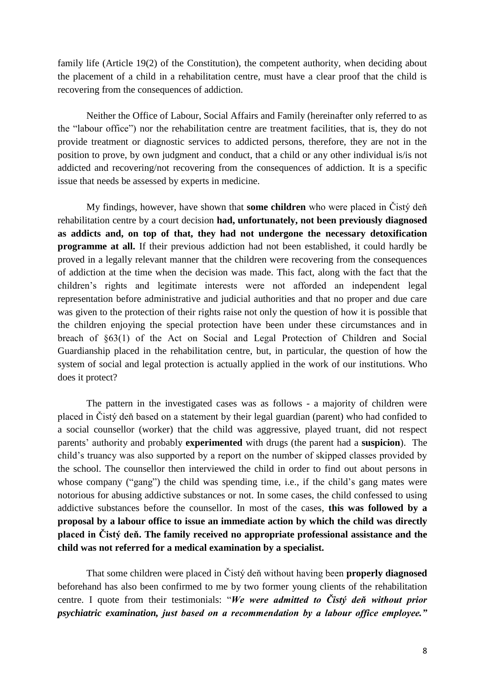family life (Article 19(2) of the Constitution), the competent authority, when deciding about the placement of a child in a rehabilitation centre, must have a clear proof that the child is recovering from the consequences of addiction.

Neither the Office of Labour, Social Affairs and Family (hereinafter only referred to as the "labour office") nor the rehabilitation centre are treatment facilities, that is, they do not provide treatment or diagnostic services to addicted persons, therefore, they are not in the position to prove, by own judgment and conduct, that a child or any other individual is/is not addicted and recovering/not recovering from the consequences of addiction. It is a specific issue that needs be assessed by experts in medicine.

My findings, however, have shown that **some children** who were placed in Čistý deň rehabilitation centre by a court decision **had, unfortunately, not been previously diagnosed as addicts and, on top of that, they had not undergone the necessary detoxification programme at all.** If their previous addiction had not been established, it could hardly be proved in a legally relevant manner that the children were recovering from the consequences of addiction at the time when the decision was made. This fact, along with the fact that the children's rights and legitimate interests were not afforded an independent legal representation before administrative and judicial authorities and that no proper and due care was given to the protection of their rights raise not only the question of how it is possible that the children enjoying the special protection have been under these circumstances and in breach of §63(1) of the Act on Social and Legal Protection of Children and Social Guardianship placed in the rehabilitation centre, but, in particular, the question of how the system of social and legal protection is actually applied in the work of our institutions. Who does it protect?

The pattern in the investigated cases was as follows - a majority of children were placed in Čistý deň based on a statement by their legal guardian (parent) who had confided to a social counsellor (worker) that the child was aggressive, played truant, did not respect parents' authority and probably **experimented** with drugs (the parent had a **suspicion**). The child's truancy was also supported by a report on the number of skipped classes provided by the school. The counsellor then interviewed the child in order to find out about persons in whose company ("gang") the child was spending time, i.e., if the child's gang mates were notorious for abusing addictive substances or not. In some cases, the child confessed to using addictive substances before the counsellor. In most of the cases, **this was followed by a proposal by a labour office to issue an immediate action by which the child was directly placed in Čistý deň. The family received no appropriate professional assistance and the child was not referred for a medical examination by a specialist.**

That some children were placed in Čistý deň without having been **properly diagnosed**  beforehand has also been confirmed to me by two former young clients of the rehabilitation centre. I quote from their testimonials: "*We were admitted to Čistý deň without prior psychiatric examination, just based on a recommendation by a labour office employee."*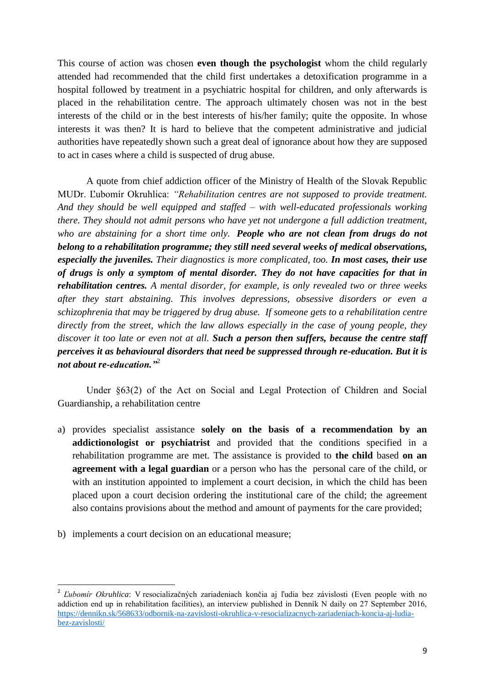This course of action was chosen **even though the psychologist** whom the child regularly attended had recommended that the child first undertakes a detoxification programme in a hospital followed by treatment in a psychiatric hospital for children, and only afterwards is placed in the rehabilitation centre. The approach ultimately chosen was not in the best interests of the child or in the best interests of his/her family; quite the opposite. In whose interests it was then? It is hard to believe that the competent administrative and judicial authorities have repeatedly shown such a great deal of ignorance about how they are supposed to act in cases where a child is suspected of drug abuse.

A quote from chief addiction officer of the Ministry of Health of the Slovak Republic MUDr. Ľubomír Okruhlica: *"Rehabilitation centres are not supposed to provide treatment. And they should be well equipped and staffed – with well-educated professionals working there. They should not admit persons who have yet not undergone a full addiction treatment, who are abstaining for a short time only. People who are not clean from drugs do not belong to a rehabilitation programme; they still need several weeks of medical observations, especially the juveniles. Their diagnostics is more complicated, too. In most cases, their use of drugs is only a symptom of mental disorder. They do not have capacities for that in rehabilitation centres. A mental disorder, for example, is only revealed two or three weeks after they start abstaining. This involves depressions, obsessive disorders or even a schizophrenia that may be triggered by drug abuse. If someone gets to a rehabilitation centre directly from the street, which the law allows especially in the case of young people, they discover it too late or even not at all. Such a person then suffers, because the centre staff perceives it as behavioural disorders that need be suppressed through re-education. But it is not about re-education."*<sup>2</sup>

Under §63(2) of the Act on Social and Legal Protection of Children and Social Guardianship, a rehabilitation centre

- a) provides specialist assistance **solely on the basis of a recommendation by an addictionologist or psychiatrist** and provided that the conditions specified in a rehabilitation programme are met. The assistance is provided to **the child** based **on an agreement with a legal guardian** or a person who has the personal care of the child, or with an institution appointed to implement a court decision, in which the child has been placed upon a court decision ordering the institutional care of the child; the agreement also contains provisions about the method and amount of payments for the care provided;
- b) implements a court decision on an educational measure;

**.** 

<sup>2</sup> *Ľubomír Okruhlica*: V resocializačných zariadeniach končia aj ľudia bez závislosti (Even people with no addiction end up in rehabilitation facilities), an interview published in Denník N daily on 27 September 2016, [https://dennikn.sk/568633/odbornik-na-zavislosti-okruhlica-v-resocializacnych-zariadeniach-koncia-aj-ludia](https://dennikn.sk/568633/odbornik-na-zavislosti-okruhlica-v-resocializacnych-zariadeniach-koncia-aj-ludia-bez-zavislosti/)[bez-zavislosti/](https://dennikn.sk/568633/odbornik-na-zavislosti-okruhlica-v-resocializacnych-zariadeniach-koncia-aj-ludia-bez-zavislosti/)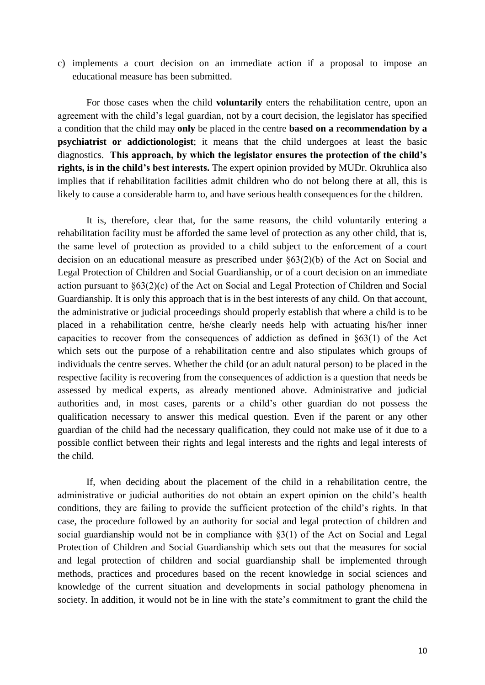c) implements a court decision on an immediate action if a proposal to impose an educational measure has been submitted.

For those cases when the child **voluntarily** enters the rehabilitation centre, upon an agreement with the child's legal guardian, not by a court decision, the legislator has specified a condition that the child may **only** be placed in the centre **based on a recommendation by a psychiatrist or addictionologist**; it means that the child undergoes at least the basic diagnostics. **This approach, by which the legislator ensures the protection of the child's rights, is in the child's best interests.** The expert opinion provided by MUDr. Okruhlica also implies that if rehabilitation facilities admit children who do not belong there at all, this is likely to cause a considerable harm to, and have serious health consequences for the children.

It is, therefore, clear that, for the same reasons, the child voluntarily entering a rehabilitation facility must be afforded the same level of protection as any other child, that is, the same level of protection as provided to a child subject to the enforcement of a court decision on an educational measure as prescribed under §63(2)(b) of the Act on Social and Legal Protection of Children and Social Guardianship, or of a court decision on an immediate action pursuant to §63(2)(c) of the Act on Social and Legal Protection of Children and Social Guardianship. It is only this approach that is in the best interests of any child. On that account, the administrative or judicial proceedings should properly establish that where a child is to be placed in a rehabilitation centre, he/she clearly needs help with actuating his/her inner capacities to recover from the consequences of addiction as defined in §63(1) of the Act which sets out the purpose of a rehabilitation centre and also stipulates which groups of individuals the centre serves. Whether the child (or an adult natural person) to be placed in the respective facility is recovering from the consequences of addiction is a question that needs be assessed by medical experts, as already mentioned above. Administrative and judicial authorities and, in most cases, parents or a child's other guardian do not possess the qualification necessary to answer this medical question. Even if the parent or any other guardian of the child had the necessary qualification, they could not make use of it due to a possible conflict between their rights and legal interests and the rights and legal interests of the child.

If, when deciding about the placement of the child in a rehabilitation centre, the administrative or judicial authorities do not obtain an expert opinion on the child's health conditions, they are failing to provide the sufficient protection of the child's rights. In that case, the procedure followed by an authority for social and legal protection of children and social guardianship would not be in compliance with §3(1) of the Act on Social and Legal Protection of Children and Social Guardianship which sets out that the measures for social and legal protection of children and social guardianship shall be implemented through methods, practices and procedures based on the recent knowledge in social sciences and knowledge of the current situation and developments in social pathology phenomena in society. In addition, it would not be in line with the state's commitment to grant the child the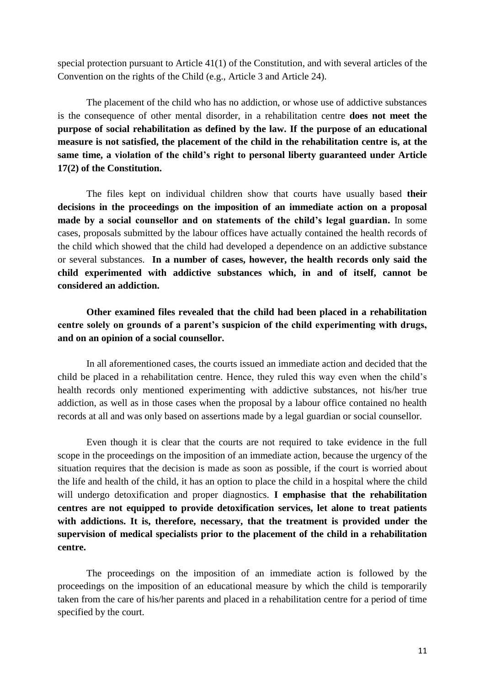special protection pursuant to Article 41(1) of the Constitution, and with several articles of the Convention on the rights of the Child (e.g., Article 3 and Article 24).

The placement of the child who has no addiction, or whose use of addictive substances is the consequence of other mental disorder, in a rehabilitation centre **does not meet the purpose of social rehabilitation as defined by the law. If the purpose of an educational measure is not satisfied, the placement of the child in the rehabilitation centre is, at the same time, a violation of the child's right to personal liberty guaranteed under Article 17(2) of the Constitution.**

The files kept on individual children show that courts have usually based **their decisions in the proceedings on the imposition of an immediate action on a proposal made by a social counsellor and on statements of the child's legal guardian.** In some cases, proposals submitted by the labour offices have actually contained the health records of the child which showed that the child had developed a dependence on an addictive substance or several substances. **In a number of cases, however, the health records only said the child experimented with addictive substances which, in and of itself, cannot be considered an addiction.**

**Other examined files revealed that the child had been placed in a rehabilitation centre solely on grounds of a parent's suspicion of the child experimenting with drugs, and on an opinion of a social counsellor.**

In all aforementioned cases, the courts issued an immediate action and decided that the child be placed in a rehabilitation centre. Hence, they ruled this way even when the child's health records only mentioned experimenting with addictive substances, not his/her true addiction, as well as in those cases when the proposal by a labour office contained no health records at all and was only based on assertions made by a legal guardian or social counsellor.

Even though it is clear that the courts are not required to take evidence in the full scope in the proceedings on the imposition of an immediate action, because the urgency of the situation requires that the decision is made as soon as possible, if the court is worried about the life and health of the child, it has an option to place the child in a hospital where the child will undergo detoxification and proper diagnostics. **I emphasise that the rehabilitation centres are not equipped to provide detoxification services, let alone to treat patients with addictions. It is, therefore, necessary, that the treatment is provided under the supervision of medical specialists prior to the placement of the child in a rehabilitation centre.**

The proceedings on the imposition of an immediate action is followed by the proceedings on the imposition of an educational measure by which the child is temporarily taken from the care of his/her parents and placed in a rehabilitation centre for a period of time specified by the court.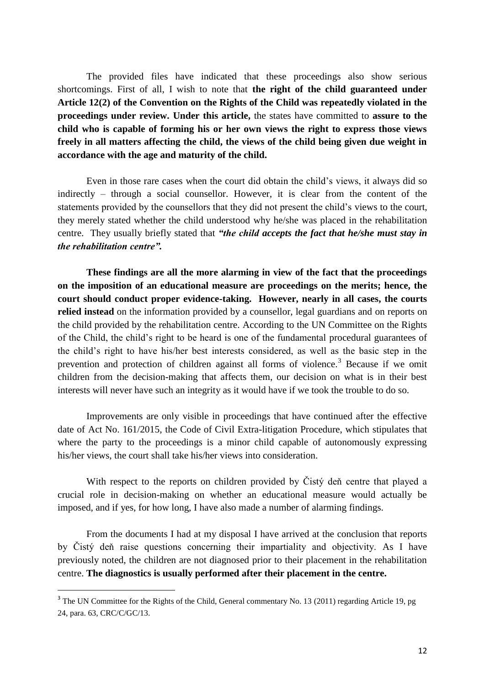The provided files have indicated that these proceedings also show serious shortcomings. First of all, I wish to note that **the right of the child guaranteed under Article 12(2) of the Convention on the Rights of the Child was repeatedly violated in the proceedings under review. Under this article,** the states have committed to **assure to the child who is capable of forming his or her own views the right to express those views freely in all matters affecting the child, the views of the child being given due weight in accordance with the age and maturity of the child.**

Even in those rare cases when the court did obtain the child's views, it always did so indirectly – through a social counsellor. However, it is clear from the content of the statements provided by the counsellors that they did not present the child's views to the court, they merely stated whether the child understood why he/she was placed in the rehabilitation centre. They usually briefly stated that *"the child accepts the fact that he/she must stay in the rehabilitation centre".* 

**These findings are all the more alarming in view of the fact that the proceedings on the imposition of an educational measure are proceedings on the merits; hence, the court should conduct proper evidence-taking. However, nearly in all cases, the courts relied instead** on the information provided by a counsellor, legal guardians and on reports on the child provided by the rehabilitation centre. According to the UN Committee on the Rights of the Child, the child's right to be heard is one of the fundamental procedural guarantees of the child's right to have his/her best interests considered, as well as the basic step in the prevention and protection of children against all forms of violence.<sup>3</sup> Because if we omit children from the decision-making that affects them, our decision on what is in their best interests will never have such an integrity as it would have if we took the trouble to do so.

Improvements are only visible in proceedings that have continued after the effective date of Act No. 161/2015, the Code of Civil Extra-litigation Procedure, which stipulates that where the party to the proceedings is a minor child capable of autonomously expressing his/her views, the court shall take his/her views into consideration.

With respect to the reports on children provided by Čistý deň centre that played a crucial role in decision-making on whether an educational measure would actually be imposed, and if yes, for how long, I have also made a number of alarming findings.

From the documents I had at my disposal I have arrived at the conclusion that reports by Čistý deň raise questions concerning their impartiality and objectivity. As I have previously noted, the children are not diagnosed prior to their placement in the rehabilitation centre. **The diagnostics is usually performed after their placement in the centre.**

**.** 

 $3$  The UN Committee for the Rights of the Child, General commentary No. 13 (2011) regarding Article 19, pg 24, para. 63, CRC/C/GC/13.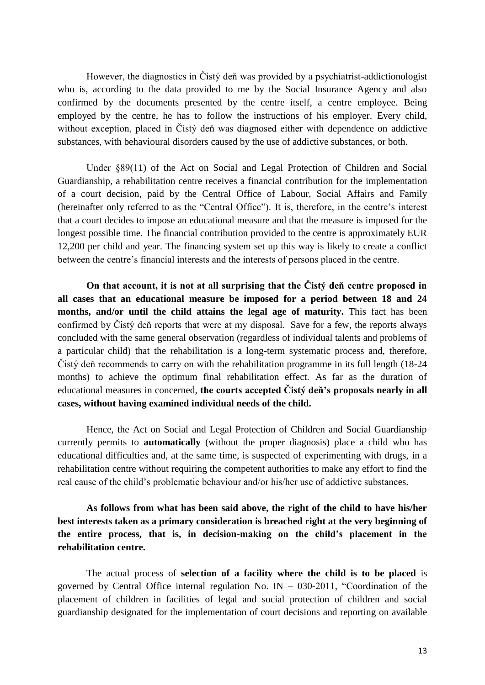However, the diagnostics in Čistý deň was provided by a psychiatrist-addictionologist who is, according to the data provided to me by the Social Insurance Agency and also confirmed by the documents presented by the centre itself, a centre employee. Being employed by the centre, he has to follow the instructions of his employer. Every child, without exception, placed in Čistý deň was diagnosed either with dependence on addictive substances, with behavioural disorders caused by the use of addictive substances, or both.

Under §89(11) of the Act on Social and Legal Protection of Children and Social Guardianship, a rehabilitation centre receives a financial contribution for the implementation of a court decision, paid by the Central Office of Labour, Social Affairs and Family (hereinafter only referred to as the "Central Office"). It is, therefore, in the centre's interest that a court decides to impose an educational measure and that the measure is imposed for the longest possible time. The financial contribution provided to the centre is approximately EUR 12,200 per child and year. The financing system set up this way is likely to create a conflict between the centre's financial interests and the interests of persons placed in the centre.

**On that account, it is not at all surprising that the Čistý deň centre proposed in all cases that an educational measure be imposed for a period between 18 and 24 months, and/or until the child attains the legal age of maturity.** This fact has been confirmed by Čistý deň reports that were at my disposal. Save for a few, the reports always concluded with the same general observation (regardless of individual talents and problems of a particular child) that the rehabilitation is a long-term systematic process and, therefore, Čistý deň recommends to carry on with the rehabilitation programme in its full length (18-24 months) to achieve the optimum final rehabilitation effect. As far as the duration of educational measures in concerned, **the courts accepted Čistý deň's proposals nearly in all cases, without having examined individual needs of the child.** 

Hence, the Act on Social and Legal Protection of Children and Social Guardianship currently permits to **automatically** (without the proper diagnosis) place a child who has educational difficulties and, at the same time, is suspected of experimenting with drugs, in a rehabilitation centre without requiring the competent authorities to make any effort to find the real cause of the child's problematic behaviour and/or his/her use of addictive substances.

**As follows from what has been said above, the right of the child to have his/her best interests taken as a primary consideration is breached right at the very beginning of the entire process, that is, in decision-making on the child's placement in the rehabilitation centre.**

The actual process of **selection of a facility where the child is to be placed** is governed by Central Office internal regulation No. IN  $-$  030-2011, "Coordination of the placement of children in facilities of legal and social protection of children and social guardianship designated for the implementation of court decisions and reporting on available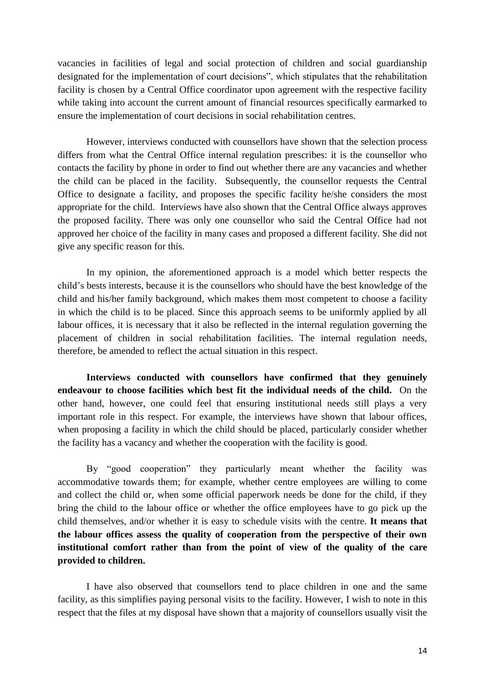vacancies in facilities of legal and social protection of children and social guardianship designated for the implementation of court decisions", which stipulates that the rehabilitation facility is chosen by a Central Office coordinator upon agreement with the respective facility while taking into account the current amount of financial resources specifically earmarked to ensure the implementation of court decisions in social rehabilitation centres.

However, interviews conducted with counsellors have shown that the selection process differs from what the Central Office internal regulation prescribes: it is the counsellor who contacts the facility by phone in order to find out whether there are any vacancies and whether the child can be placed in the facility. Subsequently, the counsellor requests the Central Office to designate a facility, and proposes the specific facility he/she considers the most appropriate for the child. Interviews have also shown that the Central Office always approves the proposed facility. There was only one counsellor who said the Central Office had not approved her choice of the facility in many cases and proposed a different facility. She did not give any specific reason for this.

In my opinion, the aforementioned approach is a model which better respects the child's bests interests, because it is the counsellors who should have the best knowledge of the child and his/her family background, which makes them most competent to choose a facility in which the child is to be placed. Since this approach seems to be uniformly applied by all labour offices, it is necessary that it also be reflected in the internal regulation governing the placement of children in social rehabilitation facilities. The internal regulation needs, therefore, be amended to reflect the actual situation in this respect.

**Interviews conducted with counsellors have confirmed that they genuinely endeavour to choose facilities which best fit the individual needs of the child.** On the other hand, however, one could feel that ensuring institutional needs still plays a very important role in this respect. For example, the interviews have shown that labour offices, when proposing a facility in which the child should be placed, particularly consider whether the facility has a vacancy and whether the cooperation with the facility is good.

By "good cooperation" they particularly meant whether the facility was accommodative towards them; for example, whether centre employees are willing to come and collect the child or, when some official paperwork needs be done for the child, if they bring the child to the labour office or whether the office employees have to go pick up the child themselves, and/or whether it is easy to schedule visits with the centre. **It means that the labour offices assess the quality of cooperation from the perspective of their own institutional comfort rather than from the point of view of the quality of the care provided to children.**

I have also observed that counsellors tend to place children in one and the same facility, as this simplifies paying personal visits to the facility. However, I wish to note in this respect that the files at my disposal have shown that a majority of counsellors usually visit the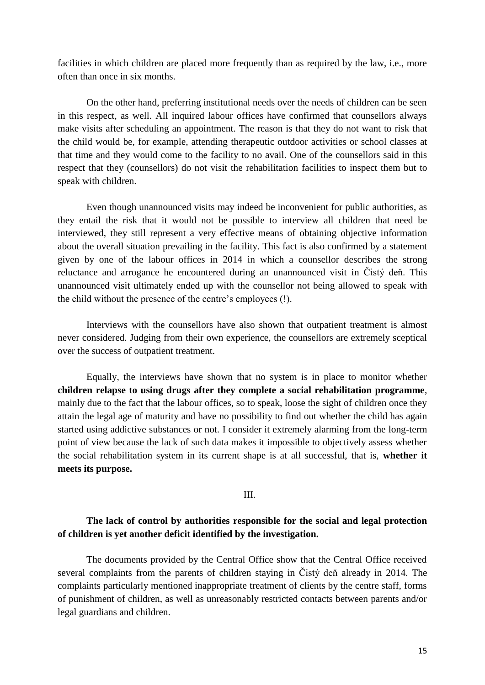facilities in which children are placed more frequently than as required by the law, i.e., more often than once in six months.

On the other hand, preferring institutional needs over the needs of children can be seen in this respect, as well. All inquired labour offices have confirmed that counsellors always make visits after scheduling an appointment. The reason is that they do not want to risk that the child would be, for example, attending therapeutic outdoor activities or school classes at that time and they would come to the facility to no avail. One of the counsellors said in this respect that they (counsellors) do not visit the rehabilitation facilities to inspect them but to speak with children.

Even though unannounced visits may indeed be inconvenient for public authorities, as they entail the risk that it would not be possible to interview all children that need be interviewed, they still represent a very effective means of obtaining objective information about the overall situation prevailing in the facility. This fact is also confirmed by a statement given by one of the labour offices in 2014 in which a counsellor describes the strong reluctance and arrogance he encountered during an unannounced visit in Čistý deň. This unannounced visit ultimately ended up with the counsellor not being allowed to speak with the child without the presence of the centre's employees (!).

Interviews with the counsellors have also shown that outpatient treatment is almost never considered. Judging from their own experience, the counsellors are extremely sceptical over the success of outpatient treatment.

Equally, the interviews have shown that no system is in place to monitor whether **children relapse to using drugs after they complete a social rehabilitation programme**, mainly due to the fact that the labour offices, so to speak, loose the sight of children once they attain the legal age of maturity and have no possibility to find out whether the child has again started using addictive substances or not. I consider it extremely alarming from the long-term point of view because the lack of such data makes it impossible to objectively assess whether the social rehabilitation system in its current shape is at all successful, that is, **whether it meets its purpose.**

### III.

# **The lack of control by authorities responsible for the social and legal protection of children is yet another deficit identified by the investigation.**

The documents provided by the Central Office show that the Central Office received several complaints from the parents of children staying in Čistý deň already in 2014. The complaints particularly mentioned inappropriate treatment of clients by the centre staff, forms of punishment of children, as well as unreasonably restricted contacts between parents and/or legal guardians and children.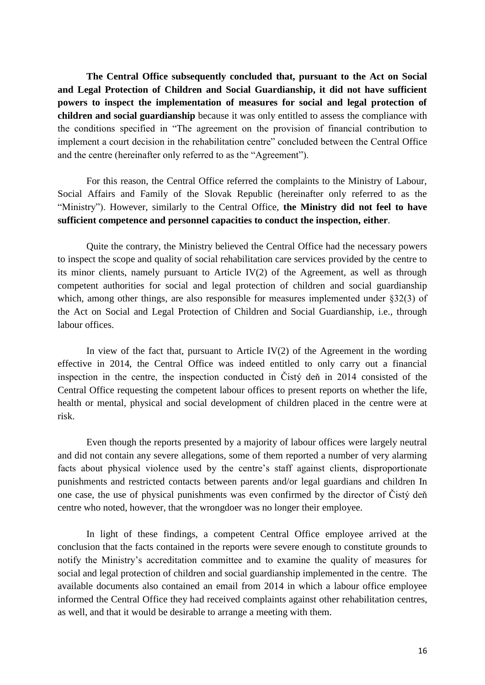**The Central Office subsequently concluded that, pursuant to the Act on Social and Legal Protection of Children and Social Guardianship, it did not have sufficient powers to inspect the implementation of measures for social and legal protection of children and social guardianship** because it was only entitled to assess the compliance with the conditions specified in "The agreement on the provision of financial contribution to implement a court decision in the rehabilitation centre" concluded between the Central Office and the centre (hereinafter only referred to as the "Agreement").

For this reason, the Central Office referred the complaints to the Ministry of Labour, Social Affairs and Family of the Slovak Republic (hereinafter only referred to as the "Ministry"). However, similarly to the Central Office, **the Ministry did not feel to have sufficient competence and personnel capacities to conduct the inspection, either**.

Quite the contrary, the Ministry believed the Central Office had the necessary powers to inspect the scope and quality of social rehabilitation care services provided by the centre to its minor clients, namely pursuant to Article IV(2) of the Agreement, as well as through competent authorities for social and legal protection of children and social guardianship which, among other things, are also responsible for measures implemented under §32(3) of the Act on Social and Legal Protection of Children and Social Guardianship, i.e., through labour offices.

In view of the fact that, pursuant to Article IV $(2)$  of the Agreement in the wording effective in 2014, the Central Office was indeed entitled to only carry out a financial inspection in the centre, the inspection conducted in Čistý deň in 2014 consisted of the Central Office requesting the competent labour offices to present reports on whether the life, health or mental, physical and social development of children placed in the centre were at risk.

Even though the reports presented by a majority of labour offices were largely neutral and did not contain any severe allegations, some of them reported a number of very alarming facts about physical violence used by the centre's staff against clients, disproportionate punishments and restricted contacts between parents and/or legal guardians and children In one case, the use of physical punishments was even confirmed by the director of Čistý deň centre who noted, however, that the wrongdoer was no longer their employee.

In light of these findings, a competent Central Office employee arrived at the conclusion that the facts contained in the reports were severe enough to constitute grounds to notify the Ministry's accreditation committee and to examine the quality of measures for social and legal protection of children and social guardianship implemented in the centre. The available documents also contained an email from 2014 in which a labour office employee informed the Central Office they had received complaints against other rehabilitation centres, as well, and that it would be desirable to arrange a meeting with them.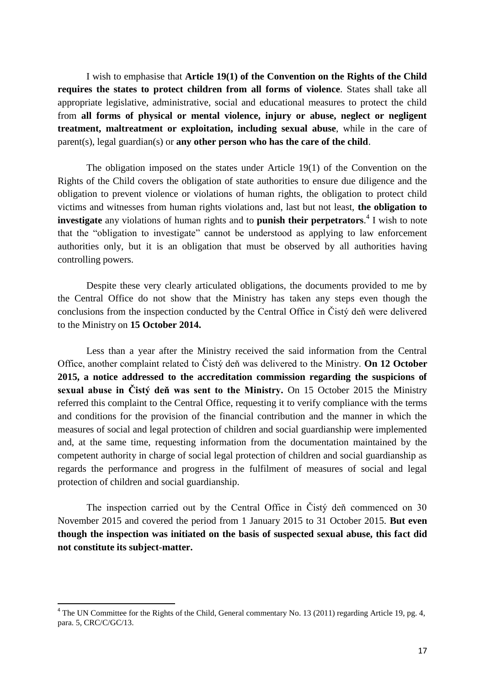I wish to emphasise that **Article 19(1) of the Convention on the Rights of the Child requires the states to protect children from all forms of violence**. States shall take all appropriate legislative, administrative, social and educational measures to protect the child from **all forms of physical or mental violence, injury or abuse, neglect or negligent treatment, maltreatment or exploitation, including sexual abuse**, while in the care of parent(s), legal guardian(s) or **any other person who has the care of the child**.

The obligation imposed on the states under Article 19(1) of the Convention on the Rights of the Child covers the obligation of state authorities to ensure due diligence and the obligation to prevent violence or violations of human rights, the obligation to protect child victims and witnesses from human rights violations and, last but not least, **the obligation to investigate** any violations of human rights and to **punish their perpetrators**. 4 I wish to note that the "obligation to investigate" cannot be understood as applying to law enforcement authorities only, but it is an obligation that must be observed by all authorities having controlling powers.

Despite these very clearly articulated obligations, the documents provided to me by the Central Office do not show that the Ministry has taken any steps even though the conclusions from the inspection conducted by the Central Office in Čistý deň were delivered to the Ministry on **15 October 2014.**

Less than a year after the Ministry received the said information from the Central Office, another complaint related to Čistý deň was delivered to the Ministry. **On 12 October 2015, a notice addressed to the accreditation commission regarding the suspicions of sexual abuse in Čistý deň was sent to the Ministry.** On 15 October 2015 the Ministry referred this complaint to the Central Office, requesting it to verify compliance with the terms and conditions for the provision of the financial contribution and the manner in which the measures of social and legal protection of children and social guardianship were implemented and, at the same time, requesting information from the documentation maintained by the competent authority in charge of social legal protection of children and social guardianship as regards the performance and progress in the fulfilment of measures of social and legal protection of children and social guardianship.

The inspection carried out by the Central Office in Čistý deň commenced on 30 November 2015 and covered the period from 1 January 2015 to 31 October 2015. **But even though the inspection was initiated on the basis of suspected sexual abuse, this fact did not constitute its subject-matter.**

1

<sup>&</sup>lt;sup>4</sup> The UN Committee for the Rights of the Child, General commentary No. 13 (2011) regarding Article 19, pg. 4, para. 5, CRC/C/GC/13.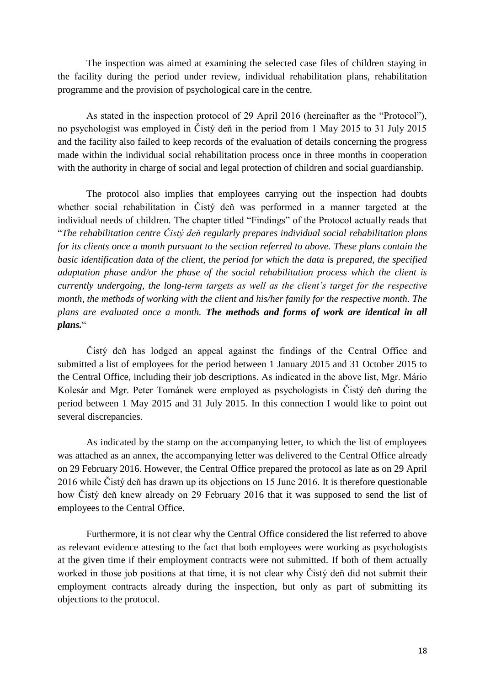The inspection was aimed at examining the selected case files of children staying in the facility during the period under review, individual rehabilitation plans, rehabilitation programme and the provision of psychological care in the centre.

As stated in the inspection protocol of 29 April 2016 (hereinafter as the "Protocol"), no psychologist was employed in Čistý deň in the period from 1 May 2015 to 31 July 2015 and the facility also failed to keep records of the evaluation of details concerning the progress made within the individual social rehabilitation process once in three months in cooperation with the authority in charge of social and legal protection of children and social guardianship.

The protocol also implies that employees carrying out the inspection had doubts whether social rehabilitation in Čistý deň was performed in a manner targeted at the individual needs of children. The chapter titled "Findings" of the Protocol actually reads that "*The rehabilitation centre Čistý deň regularly prepares individual social rehabilitation plans for its clients once a month pursuant to the section referred to above. These plans contain the basic identification data of the client, the period for which the data is prepared, the specified adaptation phase and/or the phase of the social rehabilitation process which the client is currently undergoing, the long-term targets as well as the client's target for the respective month, the methods of working with the client and his/her family for the respective month. The plans are evaluated once a month. The methods and forms of work are identical in all plans.*"

Čistý deň has lodged an appeal against the findings of the Central Office and submitted a list of employees for the period between 1 January 2015 and 31 October 2015 to the Central Office, including their job descriptions. As indicated in the above list, Mgr. Mário Kolesár and Mgr. Peter Tománek were employed as psychologists in Čistý deň during the period between 1 May 2015 and 31 July 2015. In this connection I would like to point out several discrepancies.

As indicated by the stamp on the accompanying letter, to which the list of employees was attached as an annex, the accompanying letter was delivered to the Central Office already on 29 February 2016. However, the Central Office prepared the protocol as late as on 29 April 2016 while Čistý deň has drawn up its objections on 15 June 2016. It is therefore questionable how Čistý deň knew already on 29 February 2016 that it was supposed to send the list of employees to the Central Office.

Furthermore, it is not clear why the Central Office considered the list referred to above as relevant evidence attesting to the fact that both employees were working as psychologists at the given time if their employment contracts were not submitted. If both of them actually worked in those job positions at that time, it is not clear why Čistý deň did not submit their employment contracts already during the inspection, but only as part of submitting its objections to the protocol.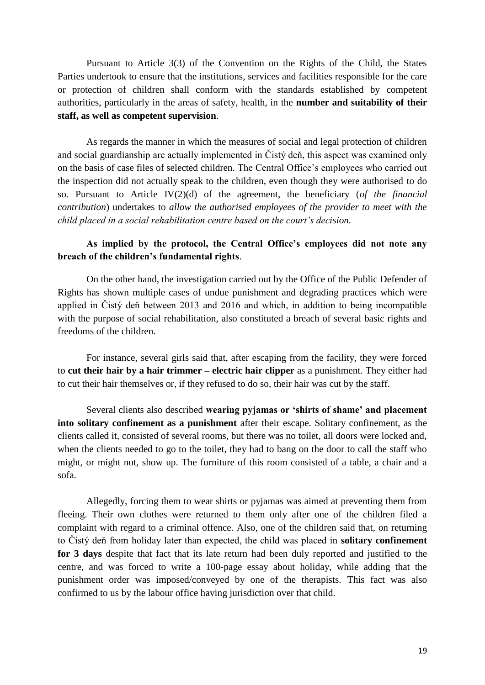Pursuant to Article 3(3) of the Convention on the Rights of the Child, the States Parties undertook to ensure that the institutions, services and facilities responsible for the care or protection of children shall conform with the standards established by competent authorities, particularly in the areas of safety, health, in the **number and suitability of their staff, as well as competent supervision**.

As regards the manner in which the measures of social and legal protection of children and social guardianship are actually implemented in Čistý deň, this aspect was examined only on the basis of case files of selected children. The Central Office's employees who carried out the inspection did not actually speak to the children, even though they were authorised to do so. Pursuant to Article IV(2)(d) of the agreement, the beneficiary (*of the financial contribution*) undertakes to *allow the authorised employees of the provider to meet with the child placed in a social rehabilitation centre based on the court's decision.*

# **As implied by the protocol, the Central Office's employees did not note any breach of the children's fundamental rights**.

On the other hand, the investigation carried out by the Office of the Public Defender of Rights has shown multiple cases of undue punishment and degrading practices which were applied in Čistý deň between 2013 and 2016 and which, in addition to being incompatible with the purpose of social rehabilitation, also constituted a breach of several basic rights and freedoms of the children.

For instance, several girls said that, after escaping from the facility, they were forced to **cut their hair by a hair trimmer – electric hair clipper** as a punishment. They either had to cut their hair themselves or, if they refused to do so, their hair was cut by the staff.

Several clients also described **wearing pyjamas or 'shirts of shame' and placement into solitary confinement as a punishment** after their escape. Solitary confinement, as the clients called it, consisted of several rooms, but there was no toilet, all doors were locked and, when the clients needed to go to the toilet, they had to bang on the door to call the staff who might, or might not, show up. The furniture of this room consisted of a table, a chair and a sofa.

Allegedly, forcing them to wear shirts or pyjamas was aimed at preventing them from fleeing. Their own clothes were returned to them only after one of the children filed a complaint with regard to a criminal offence. Also, one of the children said that, on returning to Čistý deň from holiday later than expected, the child was placed in **solitary confinement for 3 days** despite that fact that its late return had been duly reported and justified to the centre, and was forced to write a 100-page essay about holiday, while adding that the punishment order was imposed/conveyed by one of the therapists. This fact was also confirmed to us by the labour office having jurisdiction over that child.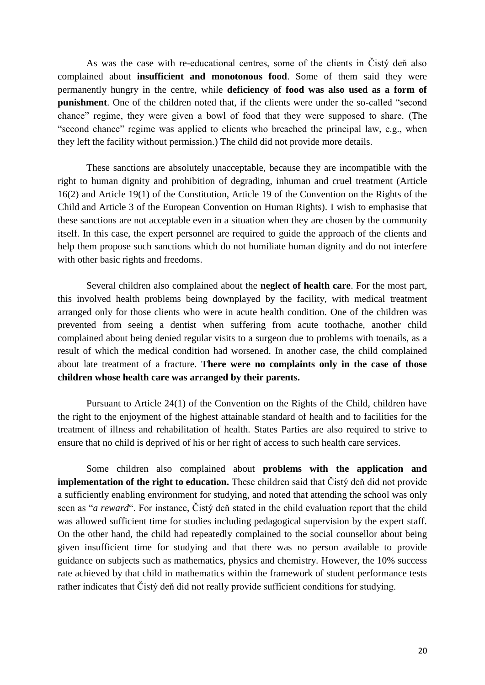As was the case with re-educational centres, some of the clients in Čistý deň also complained about **insufficient and monotonous food**. Some of them said they were permanently hungry in the centre, while **deficiency of food was also used as a form of punishment**. One of the children noted that, if the clients were under the so-called "second chance" regime, they were given a bowl of food that they were supposed to share. (The "second chance" regime was applied to clients who breached the principal law, e.g., when they left the facility without permission.) The child did not provide more details.

These sanctions are absolutely unacceptable, because they are incompatible with the right to human dignity and prohibition of degrading, inhuman and cruel treatment (Article 16(2) and Article 19(1) of the Constitution, Article 19 of the Convention on the Rights of the Child and Article 3 of the European Convention on Human Rights). I wish to emphasise that these sanctions are not acceptable even in a situation when they are chosen by the community itself. In this case, the expert personnel are required to guide the approach of the clients and help them propose such sanctions which do not humiliate human dignity and do not interfere with other basic rights and freedoms.

Several children also complained about the **neglect of health care**. For the most part, this involved health problems being downplayed by the facility, with medical treatment arranged only for those clients who were in acute health condition. One of the children was prevented from seeing a dentist when suffering from acute toothache, another child complained about being denied regular visits to a surgeon due to problems with toenails, as a result of which the medical condition had worsened. In another case, the child complained about late treatment of a fracture. **There were no complaints only in the case of those children whose health care was arranged by their parents.**

Pursuant to Article 24(1) of the Convention on the Rights of the Child, children have the right to the enjoyment of the highest attainable standard of health and to facilities for the treatment of illness and rehabilitation of health. States Parties are also required to strive to ensure that no child is deprived of his or her right of access to such health care services.

Some children also complained about **problems with the application and implementation of the right to education.** These children said that Čistý deň did not provide a sufficiently enabling environment for studying, and noted that attending the school was only seen as "*a reward*". For instance, Čistý deň stated in the child evaluation report that the child was allowed sufficient time for studies including pedagogical supervision by the expert staff. On the other hand, the child had repeatedly complained to the social counsellor about being given insufficient time for studying and that there was no person available to provide guidance on subjects such as mathematics, physics and chemistry. However, the 10% success rate achieved by that child in mathematics within the framework of student performance tests rather indicates that Čistý deň did not really provide sufficient conditions for studying.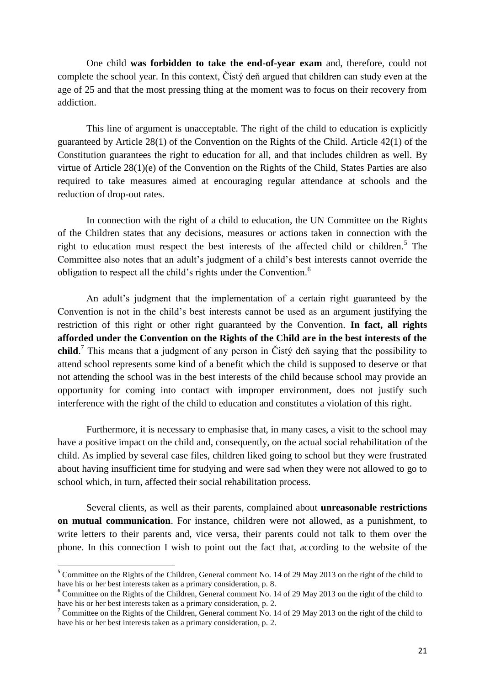One child **was forbidden to take the end-of-year exam** and, therefore, could not complete the school year. In this context, Čistý deň argued that children can study even at the age of 25 and that the most pressing thing at the moment was to focus on their recovery from addiction.

This line of argument is unacceptable. The right of the child to education is explicitly guaranteed by Article 28(1) of the Convention on the Rights of the Child. Article 42(1) of the Constitution guarantees the right to education for all, and that includes children as well. By virtue of Article 28(1)(e) of the Convention on the Rights of the Child, States Parties are also required to take measures aimed at encouraging regular attendance at schools and the reduction of drop-out rates.

In connection with the right of a child to education, the UN Committee on the Rights of the Children states that any decisions, measures or actions taken in connection with the right to education must respect the best interests of the affected child or children.<sup>5</sup> The Committee also notes that an adult's judgment of a child's best interests cannot override the obligation to respect all the child's rights under the Convention.<sup>6</sup>

An adult's judgment that the implementation of a certain right guaranteed by the Convention is not in the child's best interests cannot be used as an argument justifying the restriction of this right or other right guaranteed by the Convention. **In fact, all rights afforded under the Convention on the Rights of the Child are in the best interests of the child**. 7 This means that a judgment of any person in Čistý deň saying that the possibility to attend school represents some kind of a benefit which the child is supposed to deserve or that not attending the school was in the best interests of the child because school may provide an opportunity for coming into contact with improper environment, does not justify such interference with the right of the child to education and constitutes a violation of this right.

Furthermore, it is necessary to emphasise that, in many cases, a visit to the school may have a positive impact on the child and, consequently, on the actual social rehabilitation of the child. As implied by several case files, children liked going to school but they were frustrated about having insufficient time for studying and were sad when they were not allowed to go to school which, in turn, affected their social rehabilitation process.

Several clients, as well as their parents, complained about **unreasonable restrictions on mutual communication**. For instance, children were not allowed, as a punishment, to write letters to their parents and, vice versa, their parents could not talk to them over the phone. In this connection I wish to point out the fact that, according to the website of the

**.** 

<sup>&</sup>lt;sup>5</sup> Committee on the Rights of the Children, General comment No. 14 of 29 May 2013 on the right of the child to have his or her best interests taken as a primary consideration, p. 8.

<sup>&</sup>lt;sup>6</sup> Committee on the Rights of the Children, General comment No. 14 of 29 May 2013 on the right of the child to have his or her best interests taken as a primary consideration, p. 2.

<sup>&</sup>lt;sup>7</sup> Committee on the Rights of the Children, General comment No. 14 of 29 May 2013 on the right of the child to have his or her best interests taken as a primary consideration, p. 2.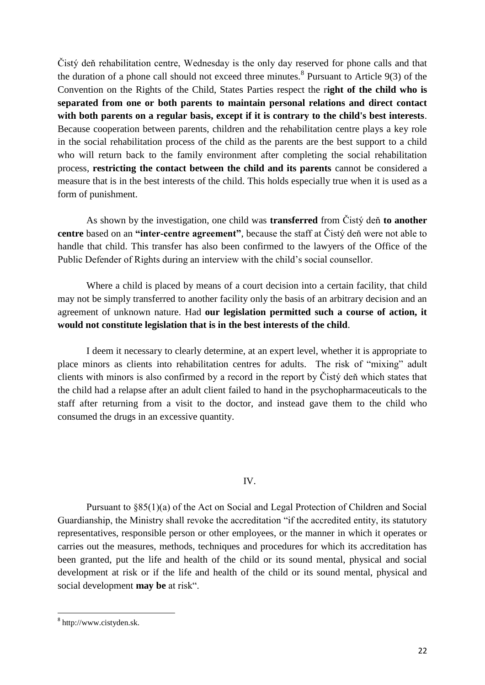Čistý deň rehabilitation centre, Wednesday is the only day reserved for phone calls and that the duration of a phone call should not exceed three minutes.<sup>8</sup> Pursuant to Article  $9(3)$  of the Convention on the Rights of the Child, States Parties respect the r**ight of the child who is separated from one or both parents to maintain personal relations and direct contact with both parents on a regular basis, except if it is contrary to the child's best interests**. Because cooperation between parents, children and the rehabilitation centre plays a key role in the social rehabilitation process of the child as the parents are the best support to a child who will return back to the family environment after completing the social rehabilitation process, **restricting the contact between the child and its parents** cannot be considered a measure that is in the best interests of the child. This holds especially true when it is used as a form of punishment.

As shown by the investigation, one child was **transferred** from Čistý deň **to another centre** based on an **"inter-centre agreement"**, because the staff at Čistý deň were not able to handle that child. This transfer has also been confirmed to the lawyers of the Office of the Public Defender of Rights during an interview with the child's social counsellor.

Where a child is placed by means of a court decision into a certain facility, that child may not be simply transferred to another facility only the basis of an arbitrary decision and an agreement of unknown nature. Had **our legislation permitted such a course of action, it would not constitute legislation that is in the best interests of the child**.

I deem it necessary to clearly determine, at an expert level, whether it is appropriate to place minors as clients into rehabilitation centres for adults. The risk of "mixing" adult clients with minors is also confirmed by a record in the report by Čistý deň which states that the child had a relapse after an adult client failed to hand in the psychopharmaceuticals to the staff after returning from a visit to the doctor, and instead gave them to the child who consumed the drugs in an excessive quantity.

### IV.

Pursuant to §85(1)(a) of the Act on Social and Legal Protection of Children and Social Guardianship, the Ministry shall revoke the accreditation "if the accredited entity, its statutory representatives, responsible person or other employees, or the manner in which it operates or carries out the measures, methods, techniques and procedures for which its accreditation has been granted, put the life and health of the child or its sound mental, physical and social development at risk or if the life and health of the child or its sound mental, physical and social development **may be** at risk".

a<br>absolution in the sk.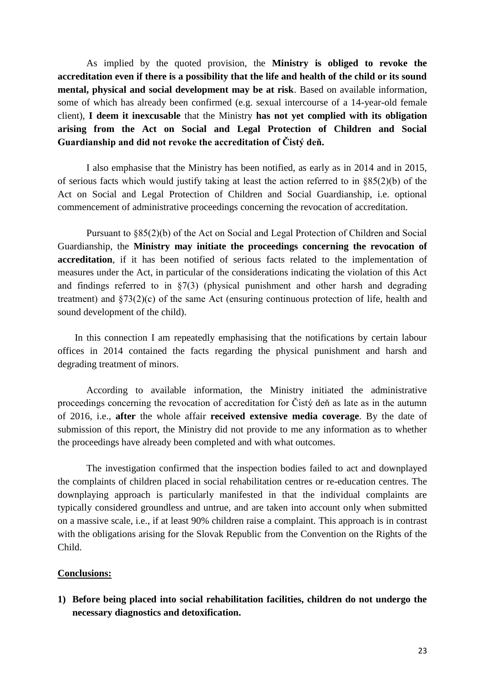As implied by the quoted provision, the **Ministry is obliged to revoke the accreditation even if there is a possibility that the life and health of the child or its sound mental, physical and social development may be at risk**. Based on available information, some of which has already been confirmed (e.g. sexual intercourse of a 14-year-old female client), **I deem it inexcusable** that the Ministry **has not yet complied with its obligation arising from the Act on Social and Legal Protection of Children and Social Guardianship and did not revoke the accreditation of Čistý deň.**

I also emphasise that the Ministry has been notified, as early as in 2014 and in 2015, of serious facts which would justify taking at least the action referred to in §85(2)(b) of the Act on Social and Legal Protection of Children and Social Guardianship, i.e. optional commencement of administrative proceedings concerning the revocation of accreditation.

Pursuant to §85(2)(b) of the Act on Social and Legal Protection of Children and Social Guardianship, the **Ministry may initiate the proceedings concerning the revocation of accreditation**, if it has been notified of serious facts related to the implementation of measures under the Act, in particular of the considerations indicating the violation of this Act and findings referred to in  $\S7(3)$  (physical punishment and other harsh and degrading treatment) and §73(2)(c) of the same Act (ensuring continuous protection of life, health and sound development of the child).

In this connection I am repeatedly emphasising that the notifications by certain labour offices in 2014 contained the facts regarding the physical punishment and harsh and degrading treatment of minors.

According to available information, the Ministry initiated the administrative proceedings concerning the revocation of accreditation for Čistý deň as late as in the autumn of 2016, i.e., **after** the whole affair **received extensive media coverage**. By the date of submission of this report, the Ministry did not provide to me any information as to whether the proceedings have already been completed and with what outcomes.

The investigation confirmed that the inspection bodies failed to act and downplayed the complaints of children placed in social rehabilitation centres or re-education centres. The downplaying approach is particularly manifested in that the individual complaints are typically considered groundless and untrue, and are taken into account only when submitted on a massive scale, i.e., if at least 90% children raise a complaint. This approach is in contrast with the obligations arising for the Slovak Republic from the Convention on the Rights of the Child.

### **Conclusions:**

**1) Before being placed into social rehabilitation facilities, children do not undergo the necessary diagnostics and detoxification.**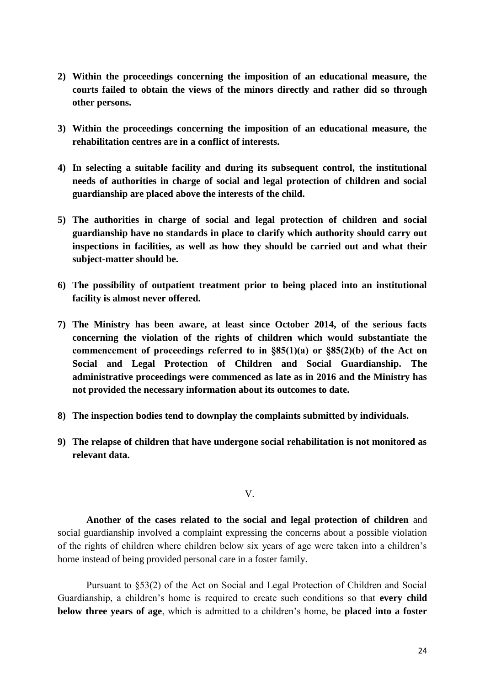- **2) Within the proceedings concerning the imposition of an educational measure, the courts failed to obtain the views of the minors directly and rather did so through other persons.**
- **3) Within the proceedings concerning the imposition of an educational measure, the rehabilitation centres are in a conflict of interests.**
- **4) In selecting a suitable facility and during its subsequent control, the institutional needs of authorities in charge of social and legal protection of children and social guardianship are placed above the interests of the child.**
- **5) The authorities in charge of social and legal protection of children and social guardianship have no standards in place to clarify which authority should carry out inspections in facilities, as well as how they should be carried out and what their subject-matter should be.**
- **6) The possibility of outpatient treatment prior to being placed into an institutional facility is almost never offered.**
- **7) The Ministry has been aware, at least since October 2014, of the serious facts concerning the violation of the rights of children which would substantiate the commencement of proceedings referred to in §85(1)(a) or §85(2)(b) of the Act on Social and Legal Protection of Children and Social Guardianship. The administrative proceedings were commenced as late as in 2016 and the Ministry has not provided the necessary information about its outcomes to date.**
- **8) The inspection bodies tend to downplay the complaints submitted by individuals.**
- **9) The relapse of children that have undergone social rehabilitation is not monitored as relevant data.**

V.

**Another of the cases related to the social and legal protection of children** and social guardianship involved a complaint expressing the concerns about a possible violation of the rights of children where children below six years of age were taken into a children's home instead of being provided personal care in a foster family.

Pursuant to §53(2) of the Act on Social and Legal Protection of Children and Social Guardianship, a children's home is required to create such conditions so that **every child below three years of age**, which is admitted to a children's home, be **placed into a foster**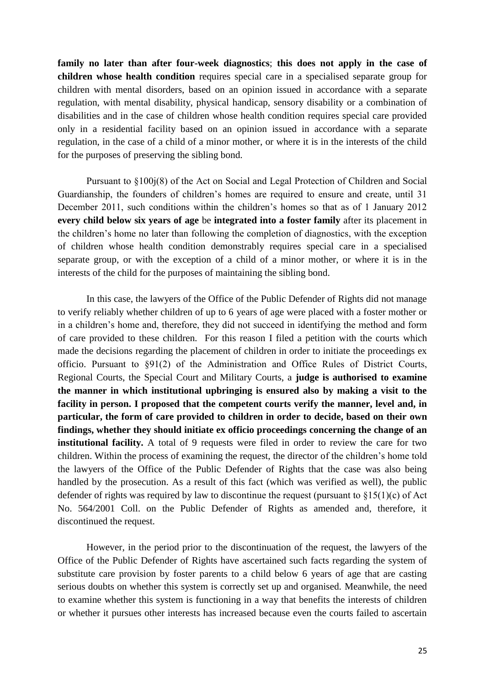**family no later than after four-week diagnostics**; **this does not apply in the case of children whose health condition** requires special care in a specialised separate group for children with mental disorders, based on an opinion issued in accordance with a separate regulation, with mental disability, physical handicap, sensory disability or a combination of disabilities and in the case of children whose health condition requires special care provided only in a residential facility based on an opinion issued in accordance with a separate regulation, in the case of a child of a minor mother, or where it is in the interests of the child for the purposes of preserving the sibling bond.

Pursuant to §100j(8) of the Act on Social and Legal Protection of Children and Social Guardianship, the founders of children's homes are required to ensure and create, until 31 December 2011, such conditions within the children's homes so that as of 1 January 2012 **every child below six years of age** be **integrated into a foster family** after its placement in the children's home no later than following the completion of diagnostics, with the exception of children whose health condition demonstrably requires special care in a specialised separate group, or with the exception of a child of a minor mother, or where it is in the interests of the child for the purposes of maintaining the sibling bond.

In this case, the lawyers of the Office of the Public Defender of Rights did not manage to verify reliably whether children of up to 6 years of age were placed with a foster mother or in a children's home and, therefore, they did not succeed in identifying the method and form of care provided to these children. For this reason I filed a petition with the courts which made the decisions regarding the placement of children in order to initiate the proceedings ex officio. Pursuant to §91(2) of the Administration and Office Rules of District Courts, Regional Courts, the Special Court and Military Courts, a **judge is authorised to examine the manner in which institutional upbringing is ensured also by making a visit to the facility in person. I proposed that the competent courts verify the manner, level and, in particular, the form of care provided to children in order to decide, based on their own findings, whether they should initiate ex officio proceedings concerning the change of an institutional facility.** A total of 9 requests were filed in order to review the care for two children. Within the process of examining the request, the director of the children's home told the lawyers of the Office of the Public Defender of Rights that the case was also being handled by the prosecution. As a result of this fact (which was verified as well), the public defender of rights was required by law to discontinue the request (pursuant to  $$15(1)(c)$  of Act No. 564/2001 Coll. on the Public Defender of Rights as amended and, therefore, it discontinued the request.

However, in the period prior to the discontinuation of the request, the lawyers of the Office of the Public Defender of Rights have ascertained such facts regarding the system of substitute care provision by foster parents to a child below 6 years of age that are casting serious doubts on whether this system is correctly set up and organised. Meanwhile, the need to examine whether this system is functioning in a way that benefits the interests of children or whether it pursues other interests has increased because even the courts failed to ascertain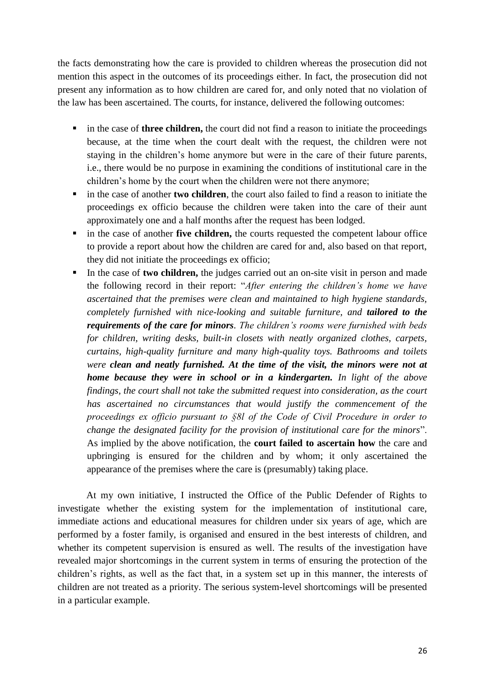the facts demonstrating how the care is provided to children whereas the prosecution did not mention this aspect in the outcomes of its proceedings either. In fact, the prosecution did not present any information as to how children are cared for, and only noted that no violation of the law has been ascertained. The courts, for instance, delivered the following outcomes:

- in the case of **three children,** the court did not find a reason to initiate the proceedings because, at the time when the court dealt with the request, the children were not staying in the children's home anymore but were in the care of their future parents, i.e., there would be no purpose in examining the conditions of institutional care in the children's home by the court when the children were not there anymore;
- in the case of another **two children**, the court also failed to find a reason to initiate the proceedings ex officio because the children were taken into the care of their aunt approximately one and a half months after the request has been lodged.
- in the case of another **five children,** the courts requested the competent labour office to provide a report about how the children are cared for and, also based on that report, they did not initiate the proceedings ex officio;
- In the case of **two children,** the judges carried out an on-site visit in person and made the following record in their report: "*After entering the children's home we have ascertained that the premises were clean and maintained to high hygiene standards, completely furnished with nice-looking and suitable furniture, and tailored to the requirements of the care for minors. The children's rooms were furnished with beds for children, writing desks, built-in closets with neatly organized clothes, carpets, curtains, high-quality furniture and many high-quality toys. Bathrooms and toilets were clean and neatly furnished. At the time of the visit, the minors were not at home because they were in school or in a kindergarten. In light of the above findings, the court shall not take the submitted request into consideration, as the court has ascertained no circumstances that would justify the commencement of the proceedings ex officio pursuant to §8l of the Code of Civil Procedure in order to change the designated facility for the provision of institutional care for the minors*". As implied by the above notification, the **court failed to ascertain how** the care and upbringing is ensured for the children and by whom; it only ascertained the appearance of the premises where the care is (presumably) taking place.

At my own initiative, I instructed the Office of the Public Defender of Rights to investigate whether the existing system for the implementation of institutional care, immediate actions and educational measures for children under six years of age, which are performed by a foster family, is organised and ensured in the best interests of children, and whether its competent supervision is ensured as well. The results of the investigation have revealed major shortcomings in the current system in terms of ensuring the protection of the children's rights, as well as the fact that, in a system set up in this manner, the interests of children are not treated as a priority. The serious system-level shortcomings will be presented in a particular example.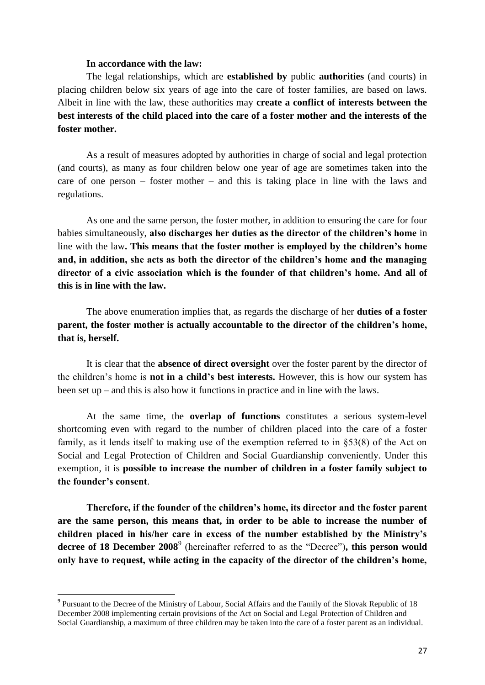### **In accordance with the law:**

The legal relationships, which are **established by** public **authorities** (and courts) in placing children below six years of age into the care of foster families, are based on laws. Albeit in line with the law, these authorities may **create a conflict of interests between the best interests of the child placed into the care of a foster mother and the interests of the foster mother.**

As a result of measures adopted by authorities in charge of social and legal protection (and courts), as many as four children below one year of age are sometimes taken into the care of one person – foster mother – and this is taking place in line with the laws and regulations.

As one and the same person, the foster mother, in addition to ensuring the care for four babies simultaneously, **also discharges her duties as the director of the children's home** in line with the law**. This means that the foster mother is employed by the children's home and, in addition, she acts as both the director of the children's home and the managing director of a civic association which is the founder of that children's home. And all of this is in line with the law.**

The above enumeration implies that, as regards the discharge of her **duties of a foster parent, the foster mother is actually accountable to the director of the children's home, that is, herself.** 

It is clear that the **absence of direct oversight** over the foster parent by the director of the children's home is **not in a child's best interests.** However, this is how our system has been set up – and this is also how it functions in practice and in line with the laws.

At the same time, the **overlap of functions** constitutes a serious system-level shortcoming even with regard to the number of children placed into the care of a foster family, as it lends itself to making use of the exemption referred to in §53(8) of the Act on Social and Legal Protection of Children and Social Guardianship conveniently. Under this exemption, it is **possible to increase the number of children in a foster family subject to the founder's consent**.

**Therefore, if the founder of the children's home, its director and the foster parent are the same person, this means that, in order to be able to increase the number of children placed in his/her care in excess of the number established by the Ministry's**  decree of 18 December 2008<sup>9</sup> (hereinafter referred to as the "Decree"), this person would **only have to request, while acting in the capacity of the director of the children's home,** 

 $\overline{a}$ 

<sup>&</sup>lt;sup>9</sup> Pursuant to the Decree of the Ministry of Labour, Social Affairs and the Family of the Slovak Republic of 18 December 2008 implementing certain provisions of the Act on Social and Legal Protection of Children and Social Guardianship, a maximum of three children may be taken into the care of a foster parent as an individual.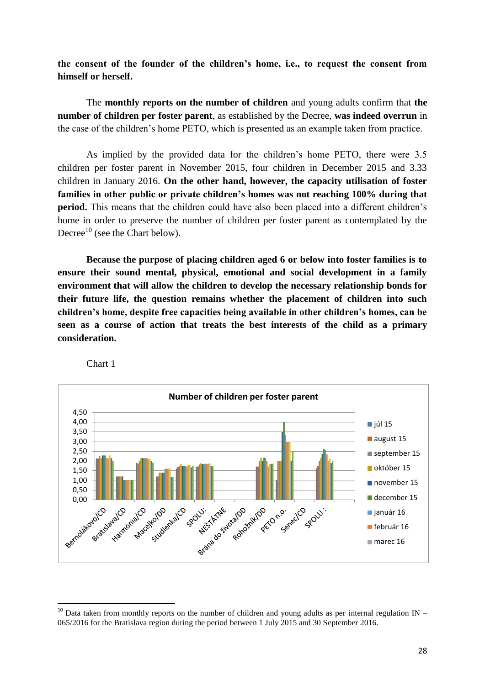**the consent of the founder of the children's home, i.e., to request the consent from himself or herself.**

The **monthly reports on the number of children** and young adults confirm that **the number of children per foster parent**, as established by the Decree, **was indeed overrun** in the case of the children's home PETO, which is presented as an example taken from practice.

As implied by the provided data for the children's home PETO, there were 3.5 children per foster parent in November 2015, four children in December 2015 and 3.33 children in January 2016. **On the other hand, however, the capacity utilisation of foster families in other public or private children's homes was not reaching 100% during that period.** This means that the children could have also been placed into a different children's home in order to preserve the number of children per foster parent as contemplated by the Decree<sup>10</sup> (see the Chart below).

**Because the purpose of placing children aged 6 or below into foster families is to ensure their sound mental, physical, emotional and social development in a family environment that will allow the children to develop the necessary relationship bonds for their future life, the question remains whether the placement of children into such children's home, despite free capacities being available in other children's homes, can be seen as a course of action that treats the best interests of the child as a primary consideration.**



Chart 1

1

 $10$  Data taken from monthly reports on the number of children and young adults as per internal regulation IN – 065/2016 for the Bratislava region during the period between 1 July 2015 and 30 September 2016.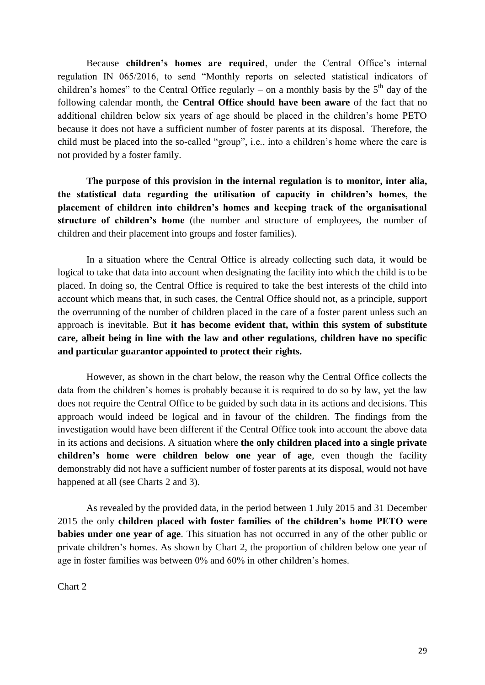Because **children's homes are required**, under the Central Office's internal regulation IN 065/2016, to send "Monthly reports on selected statistical indicators of children's homes" to the Central Office regularly – on a monthly basis by the  $5<sup>th</sup>$  day of the following calendar month, the **Central Office should have been aware** of the fact that no additional children below six years of age should be placed in the children's home PETO because it does not have a sufficient number of foster parents at its disposal. Therefore, the child must be placed into the so-called "group", i.e., into a children's home where the care is not provided by a foster family.

**The purpose of this provision in the internal regulation is to monitor, inter alia, the statistical data regarding the utilisation of capacity in children's homes, the placement of children into children's homes and keeping track of the organisational structure of children's home** (the number and structure of employees, the number of children and their placement into groups and foster families).

In a situation where the Central Office is already collecting such data, it would be logical to take that data into account when designating the facility into which the child is to be placed. In doing so, the Central Office is required to take the best interests of the child into account which means that, in such cases, the Central Office should not, as a principle, support the overrunning of the number of children placed in the care of a foster parent unless such an approach is inevitable. But **it has become evident that, within this system of substitute care, albeit being in line with the law and other regulations, children have no specific and particular guarantor appointed to protect their rights.** 

However, as shown in the chart below, the reason why the Central Office collects the data from the children's homes is probably because it is required to do so by law, yet the law does not require the Central Office to be guided by such data in its actions and decisions. This approach would indeed be logical and in favour of the children. The findings from the investigation would have been different if the Central Office took into account the above data in its actions and decisions. A situation where **the only children placed into a single private children's home were children below one year of age**, even though the facility demonstrably did not have a sufficient number of foster parents at its disposal, would not have happened at all (see Charts 2 and 3).

As revealed by the provided data, in the period between 1 July 2015 and 31 December 2015 the only **children placed with foster families of the children's home PETO were babies under one year of age**. This situation has not occurred in any of the other public or private children's homes. As shown by Chart 2, the proportion of children below one year of age in foster families was between 0% and 60% in other children's homes.

Chart 2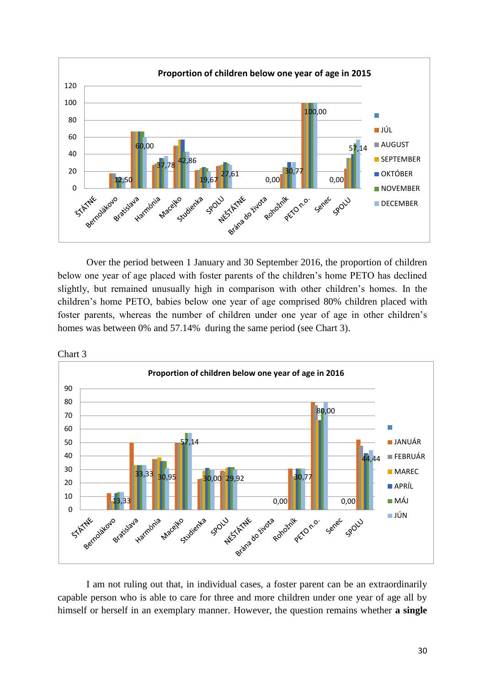

Over the period between 1 January and 30 September 2016, the proportion of children below one year of age placed with foster parents of the children's home PETO has declined slightly, but remained unusually high in comparison with other children's homes. In the children's home PETO, babies below one year of age comprised 80% children placed with foster parents, whereas the number of children under one year of age in other children's homes was between 0% and 57.14% during the same period (see Chart 3).



I am not ruling out that, in individual cases, a foster parent can be an extraordinarily capable person who is able to care for three and more children under one year of age all by himself or herself in an exemplary manner. However, the question remains whether **a single** 

Chart 3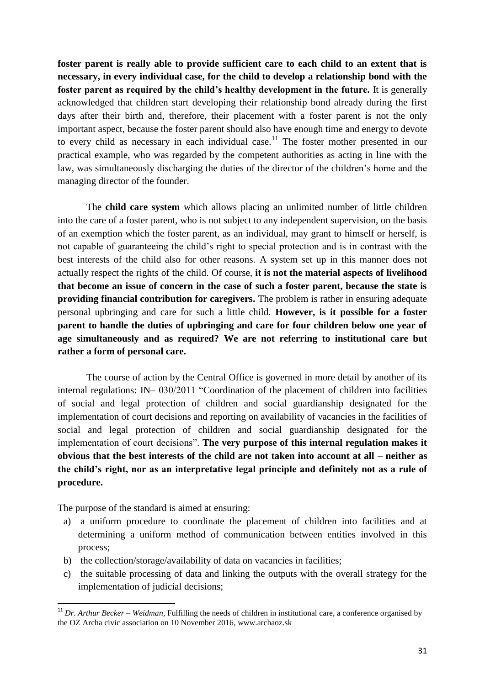**foster parent is really able to provide sufficient care to each child to an extent that is necessary, in every individual case, for the child to develop a relationship bond with the foster parent as required by the child's healthy development in the future.** It is generally acknowledged that children start developing their relationship bond already during the first days after their birth and, therefore, their placement with a foster parent is not the only important aspect, because the foster parent should also have enough time and energy to devote to every child as necessary in each individual case.<sup>11</sup> The foster mother presented in our practical example, who was regarded by the competent authorities as acting in line with the law, was simultaneously discharging the duties of the director of the children's home and the managing director of the founder.

The **child care system** which allows placing an unlimited number of little children into the care of a foster parent, who is not subject to any independent supervision, on the basis of an exemption which the foster parent, as an individual, may grant to himself or herself, is not capable of guaranteeing the child's right to special protection and is in contrast with the best interests of the child also for other reasons. A system set up in this manner does not actually respect the rights of the child. Of course, **it is not the material aspects of livelihood that become an issue of concern in the case of such a foster parent, because the state is providing financial contribution for caregivers.** The problem is rather in ensuring adequate personal upbringing and care for such a little child. **However, is it possible for a foster parent to handle the duties of upbringing and care for four children below one year of age simultaneously and as required? We are not referring to institutional care but rather a form of personal care.**

The course of action by the Central Office is governed in more detail by another of its internal regulations: IN– 030/2011 "Coordination of the placement of children into facilities of social and legal protection of children and social guardianship designated for the implementation of court decisions and reporting on availability of vacancies in the facilities of social and legal protection of children and social guardianship designated for the implementation of court decisions". **The very purpose of this internal regulation makes it obvious that the best interests of the child are not taken into account at all – neither as the child's right, nor as an interpretative legal principle and definitely not as a rule of procedure.**

The purpose of the standard is aimed at ensuring:

1

- a) a uniform procedure to coordinate the placement of children into facilities and at determining a uniform method of communication between entities involved in this process;
- b) the collection/storage/availability of data on vacancies in facilities;
- c) the suitable processing of data and linking the outputs with the overall strategy for the implementation of judicial decisions;

<sup>&</sup>lt;sup>11</sup> *Dr. Arthur Becker – Weidman*, Fulfilling the needs of children in institutional care, a conference organised by the OZ Archa civic association on 10 November 2016, www.archaoz.sk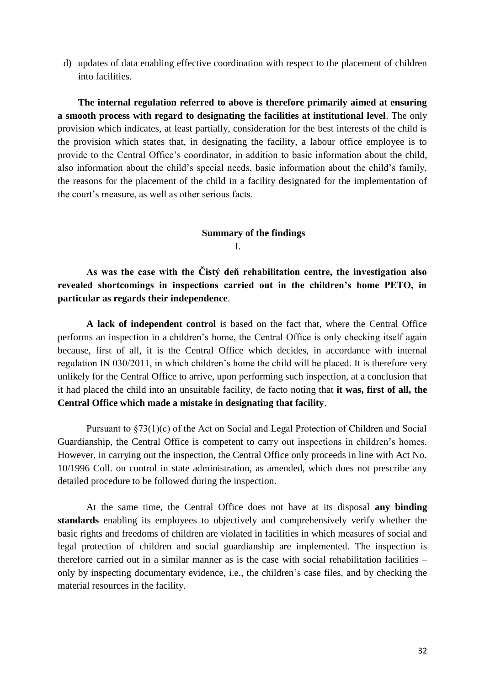d) updates of data enabling effective coordination with respect to the placement of children into facilities.

**The internal regulation referred to above is therefore primarily aimed at ensuring a smooth process with regard to designating the facilities at institutional level**. The only provision which indicates, at least partially, consideration for the best interests of the child is the provision which states that, in designating the facility, a labour office employee is to provide to the Central Office's coordinator, in addition to basic information about the child, also information about the child's special needs, basic information about the child's family, the reasons for the placement of the child in a facility designated for the implementation of the court's measure, as well as other serious facts.

# **Summary of the findings** I.

**As was the case with the Čistý deň rehabilitation centre, the investigation also revealed shortcomings in inspections carried out in the children's home PETO, in particular as regards their independence**.

**A lack of independent control** is based on the fact that, where the Central Office performs an inspection in a children's home, the Central Office is only checking itself again because, first of all, it is the Central Office which decides, in accordance with internal regulation IN 030/2011, in which children's home the child will be placed. It is therefore very unlikely for the Central Office to arrive, upon performing such inspection, at a conclusion that it had placed the child into an unsuitable facility, de facto noting that **it was, first of all, the Central Office which made a mistake in designating that facility**.

Pursuant to §73(1)(c) of the Act on Social and Legal Protection of Children and Social Guardianship, the Central Office is competent to carry out inspections in children's homes. However, in carrying out the inspection, the Central Office only proceeds in line with Act No. 10/1996 Coll. on control in state administration, as amended, which does not prescribe any detailed procedure to be followed during the inspection.

At the same time, the Central Office does not have at its disposal **any binding standards** enabling its employees to objectively and comprehensively verify whether the basic rights and freedoms of children are violated in facilities in which measures of social and legal protection of children and social guardianship are implemented. The inspection is therefore carried out in a similar manner as is the case with social rehabilitation facilities – only by inspecting documentary evidence, i.e., the children's case files, and by checking the material resources in the facility.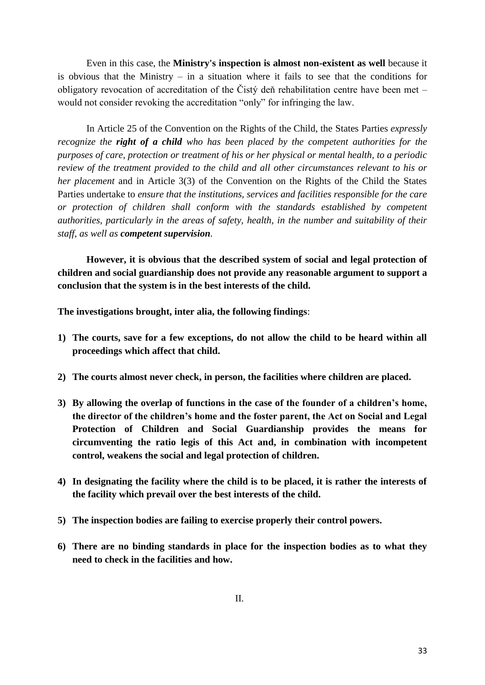Even in this case, the **Ministry's inspection is almost non-existent as well** because it is obvious that the Ministry – in a situation where it fails to see that the conditions for obligatory revocation of accreditation of the Čistý deň rehabilitation centre have been met – would not consider revoking the accreditation "only" for infringing the law.

In Article 25 of the Convention on the Rights of the Child, the States Parties *expressly recognize the right of a child who has been placed by the competent authorities for the purposes of care, protection or treatment of his or her physical or mental health, to a periodic review of the treatment provided to the child and all other circumstances relevant to his or her placement* and in Article 3(3) of the Convention on the Rights of the Child the States Parties undertake to *ensure that the institutions, services and facilities responsible for the care or protection of children shall conform with the standards established by competent authorities, particularly in the areas of safety, health, in the number and suitability of their staff, as well as competent supervision.*

**However, it is obvious that the described system of social and legal protection of children and social guardianship does not provide any reasonable argument to support a conclusion that the system is in the best interests of the child.**

**The investigations brought, inter alia, the following findings**:

- **1) The courts, save for a few exceptions, do not allow the child to be heard within all proceedings which affect that child.**
- **2) The courts almost never check, in person, the facilities where children are placed.**
- **3) By allowing the overlap of functions in the case of the founder of a children's home, the director of the children's home and the foster parent, the Act on Social and Legal Protection of Children and Social Guardianship provides the means for circumventing the ratio legis of this Act and, in combination with incompetent control, weakens the social and legal protection of children.**
- **4) In designating the facility where the child is to be placed, it is rather the interests of the facility which prevail over the best interests of the child.**
- **5) The inspection bodies are failing to exercise properly their control powers.**
- **6) There are no binding standards in place for the inspection bodies as to what they need to check in the facilities and how.**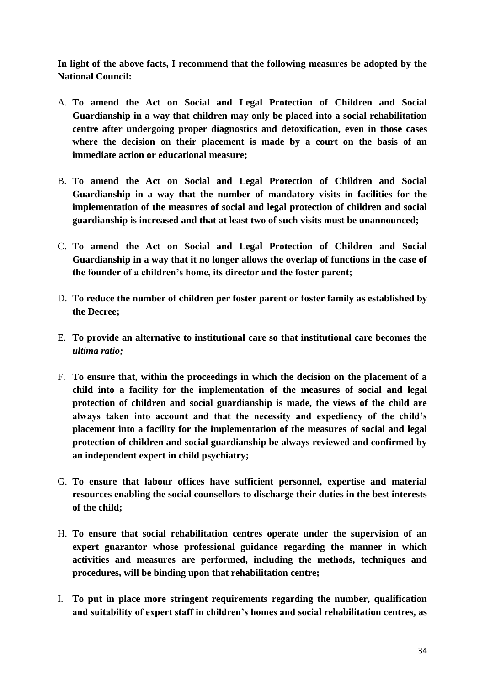**In light of the above facts, I recommend that the following measures be adopted by the National Council:**

- A. **To amend the Act on Social and Legal Protection of Children and Social Guardianship in a way that children may only be placed into a social rehabilitation centre after undergoing proper diagnostics and detoxification, even in those cases where the decision on their placement is made by a court on the basis of an immediate action or educational measure;**
- B. **To amend the Act on Social and Legal Protection of Children and Social Guardianship in a way that the number of mandatory visits in facilities for the implementation of the measures of social and legal protection of children and social guardianship is increased and that at least two of such visits must be unannounced;**
- C. **To amend the Act on Social and Legal Protection of Children and Social Guardianship in a way that it no longer allows the overlap of functions in the case of the founder of a children's home, its director and the foster parent;**
- D. **To reduce the number of children per foster parent or foster family as established by the Decree;**
- E. **To provide an alternative to institutional care so that institutional care becomes the**  *ultima ratio;*
- F. **To ensure that, within the proceedings in which the decision on the placement of a child into a facility for the implementation of the measures of social and legal protection of children and social guardianship is made, the views of the child are always taken into account and that the necessity and expediency of the child's placement into a facility for the implementation of the measures of social and legal protection of children and social guardianship be always reviewed and confirmed by an independent expert in child psychiatry;**
- G. **To ensure that labour offices have sufficient personnel, expertise and material resources enabling the social counsellors to discharge their duties in the best interests of the child;**
- H. **To ensure that social rehabilitation centres operate under the supervision of an expert guarantor whose professional guidance regarding the manner in which activities and measures are performed, including the methods, techniques and procedures, will be binding upon that rehabilitation centre;**
- I. **To put in place more stringent requirements regarding the number, qualification and suitability of expert staff in children's homes and social rehabilitation centres, as**